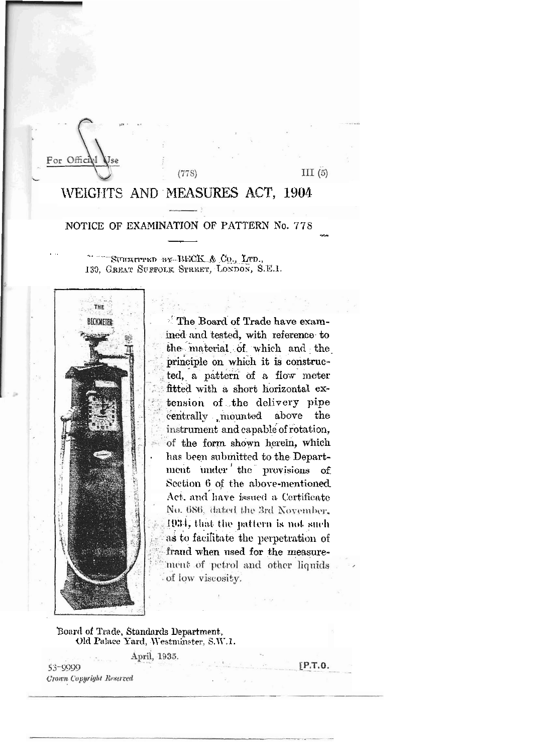For Offici

 $III(5)$ 

## WEIGHTS AND MEASURES ACT, 1904

 $(778)$ 

## NOTICE OF EXAMINATION OF PATTERN No. 778

SUBRITTED BY BECK & Co., LTD., 130. GREAT SUFFOLK STREET, LONDON, S.E.1.



The Board of Trade have examined and tested, with reference to the material of which and the principle on which it is constructed, a pattern of a flow meter fitted with a short horizontal extension of the delivery pipe centrally mounted above the instrument and capable of rotation, of the form shown herein, which has been submitted to the Department under the provisions of Section 6 of the above-mentioned Act, and have issued a Certificate No. 686, dated the 3rd November. 1934, that the pattern is not such as to facilitate the perpetration of fraud when used for the measurement of petrol and other liquids of low viscosity.

Board of Trade, Standards Department, Old Palace Yard, Westminster, S.W.1.

April, 1935.

53-9999 Crown Copyright Reserved  $[P.T.0]$